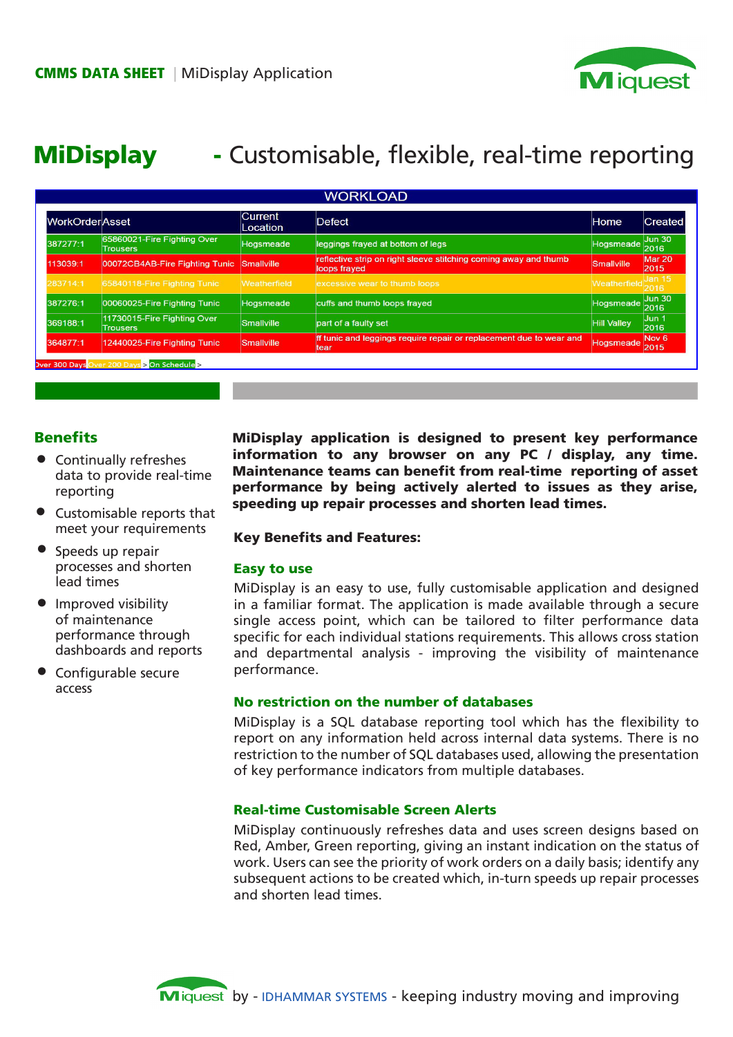

# MiDisplay - Customisable, flexible, real-time reporting

| <b>WorkOrderAsset</b> |                                                | <b>Current</b><br>Location | <b>Defect</b>                                                                    | Home               | <b>Created</b>           |
|-----------------------|------------------------------------------------|----------------------------|----------------------------------------------------------------------------------|--------------------|--------------------------|
| 387277:1              | 65860021-Fire Fighting Over<br><b>Trousers</b> | Hogsmeade                  | leggings frayed at bottom of legs                                                | Hogsmeade          | Jun 30<br>2016           |
| 113039:1              | 00072CB4AB-Fire Fighting Tunic                 | Smallville                 | reflective strip on right sleeve stitching coming away and thumb<br>loops frayed | Smallville         | Mar 20<br>2015           |
| 283714:1              | 65840118-Fire Fighting Tunic                   | Weatherfield               | excessive wear to thumb loops                                                    | Weatherfield 2016  | Jan 15                   |
| 387276:1              | 00060025-Fire Fighting Tunic                   | Hogsmeade                  | cuffs and thumb loops fraved                                                     | Hogsmeade          | <b>Jun 30</b><br>2016    |
| 369188:1              | 11730015-Fire Fighting Over<br><b>Trousers</b> | Smallville                 | part of a faulty set                                                             | <b>Hill Valley</b> | Jun 1<br>2016            |
| 364877:1              | 12440025-Fire Fighting Tunic                   | Smallville                 | If tunic and leggings require repair or replacement due to wear and<br>ltear     | Hogsmeade          | Nov <sub>6</sub><br>2015 |

# **Benefits**

- Continually refreshes data to provide real-time reporting
- Customisable reports that meet your requirements
- Speeds up repair processes and shorten lead times •
- Improved visibility of maintenance performance through dashboards and reports
- Configurable secure access

MiDisplay application is designed to present key performance information to any browser on any PC / display, any time. Maintenance teams can benefit from real-time reporting of asset performance by being actively alerted to issues as they arise, speeding up repair processes and shorten lead times.

#### Key Benefits and Features:

#### Easy to use

MiDisplay is an easy to use, fully customisable application and designed in a familiar format. The application is made available through a secure single access point, which can be tailored to filter performance data specific for each individual stations requirements. This allows cross station and departmental analysis - improving the visibility of maintenance performance.

#### No restriction on the number of databases

MiDisplay is a SQL database reporting tool which has the flexibility to report on any information held across internal data systems. There is no restriction to the number of SQL databases used, allowing the presentation of key performance indicators from multiple databases.

## Real-time Customisable Screen Alerts

MiDisplay continuously refreshes data and uses screen designs based on Red, Amber, Green reporting, giving an instant indication on the status of work. Users can see the priority of work orders on a daily basis; identify any subsequent actions to be created which, in-turn speeds up repair processes and shorten lead times.